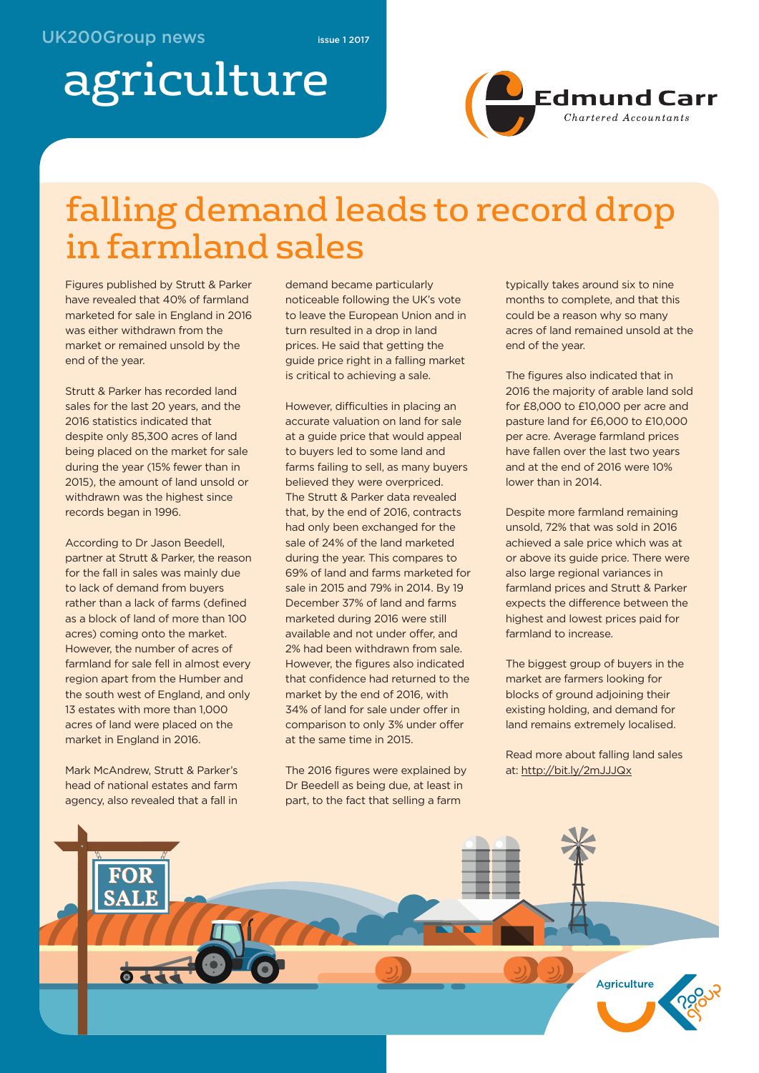# agriculture



### falling demand leads to record drop in farmland sales

Figures published by Strutt & Parker have revealed that 40% of farmland marketed for sale in England in 2016 was either withdrawn from the market or remained unsold by the end of the year.

Strutt & Parker has recorded land sales for the last 20 years, and the 2016 statistics indicated that despite only 85,300 acres of land being placed on the market for sale during the year (15% fewer than in 2015), the amount of land unsold or withdrawn was the highest since records began in 1996.

According to Dr Jason Beedell, partner at Strutt & Parker, the reason for the fall in sales was mainly due to lack of demand from buyers rather than a lack of farms (defined as a block of land of more than 100 acres) coming onto the market. However, the number of acres of farmland for sale fell in almost every region apart from the Humber and the south west of England, and only 13 estates with more than 1,000 acres of land were placed on the market in England in 2016.

Mark McAndrew, Strutt & Parker's head of national estates and farm agency, also revealed that a fall in

demand became particularly noticeable following the UK's vote to leave the European Union and in turn resulted in a drop in land prices. He said that getting the guide price right in a falling market is critical to achieving a sale.

However, difficulties in placing an accurate valuation on land for sale at a guide price that would appeal to buyers led to some land and farms failing to sell, as many buyers believed they were overpriced. The Strutt & Parker data revealed that, by the end of 2016, contracts had only been exchanged for the sale of 24% of the land marketed during the year. This compares to 69% of land and farms marketed for sale in 2015 and 79% in 2014. By 19 December 37% of land and farms marketed during 2016 were still available and not under offer, and 2% had been withdrawn from sale. However, the figures also indicated that confidence had returned to the market by the end of 2016, with 34% of land for sale under offer in comparison to only 3% under offer at the same time in 2015.

The 2016 figures were explained by Dr Beedell as being due, at least in part, to the fact that selling a farm

typically takes around six to nine months to complete, and that this could be a reason why so many acres of land remained unsold at the end of the year.

The figures also indicated that in 2016 the majority of arable land sold for £8,000 to £10,000 per acre and pasture land for £6,000 to £10,000 per acre. Average farmland prices have fallen over the last two years and at the end of 2016 were 10% lower than in 2014.

Despite more farmland remaining unsold, 72% that was sold in 2016 achieved a sale price which was at or above its guide price. There were also large regional variances in farmland prices and Strutt & Parker expects the difference between the highest and lowest prices paid for farmland to increase.

The biggest group of buyers in the market are farmers looking for blocks of ground adjoining their existing holding, and demand for land remains extremely localised.

Read more about falling land sales at: http://bit.ly/2mJJJQx

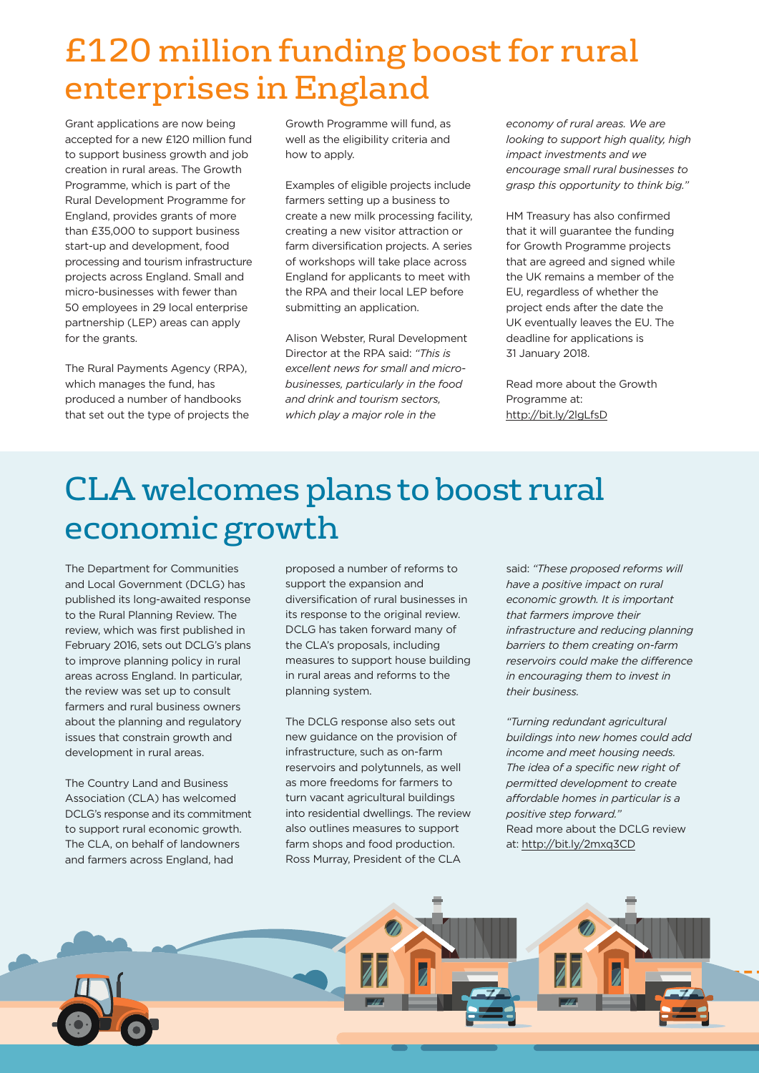### £120 million funding boost for rural enterprises in England

Grant applications are now being accepted for a new £120 million fund to support business growth and job creation in rural areas. The Growth Programme, which is part of the Rural Development Programme for England, provides grants of more than £35,000 to support business start-up and development, food processing and tourism infrastructure projects across England. Small and micro-businesses with fewer than 50 employees in 29 local enterprise partnership (LEP) areas can apply for the grants.

The Rural Payments Agency (RPA), which manages the fund, has produced a number of handbooks that set out the type of projects the

Growth Programme will fund, as well as the eligibility criteria and how to apply.

Examples of eligible projects include farmers setting up a business to create a new milk processing facility, creating a new visitor attraction or farm diversification projects. A series of workshops will take place across England for applicants to meet with the RPA and their local LEP before submitting an application.

Alison Webster, Rural Development Director at the RPA said: *"This is excellent news for small and microbusinesses, particularly in the food and drink and tourism sectors, which play a major role in the*

*economy of rural areas. We are looking to support high quality, high impact investments and we encourage small rural businesses to grasp this opportunity to think big."*

HM Treasury has also confirmed that it will guarantee the funding for Growth Programme projects that are agreed and signed while the UK remains a member of the EU, regardless of whether the project ends after the date the UK eventually leaves the EU. The deadline for applications is 31 January 2018.

Read more about the Growth Programme at: http://bit.ly/2lgLfsD

### CLA welcomes plans to boost rural economic growth

The Department for Communities and Local Government (DCLG) has published its long-awaited response to the Rural Planning Review. The review, which was first published in February 2016, sets out DCLG's plans to improve planning policy in rural areas across England. In particular, the review was set up to consult farmers and rural business owners about the planning and regulatory issues that constrain growth and development in rural areas.

The Country Land and Business Association (CLA) has welcomed DCLG's response and its commitment to support rural economic growth. The CLA, on behalf of landowners and farmers across England, had

proposed a number of reforms to support the expansion and diversification of rural businesses in its response to the original review. DCLG has taken forward many of the CLA's proposals, including measures to support house building in rural areas and reforms to the planning system.

The DCLG response also sets out new guidance on the provision of infrastructure, such as on-farm reservoirs and polytunnels, as well as more freedoms for farmers to turn vacant agricultural buildings into residential dwellings. The review also outlines measures to support farm shops and food production. Ross Murray, President of the CLA

said: *"These proposed reforms will have a positive impact on rural economic growth. It is important that farmers improve their infrastructure and reducing planning barriers to them creating on-farm reservoirs could make the difference in encouraging them to invest in their business.*

*"Turning redundant agricultural buildings into new homes could add income and meet housing needs. The idea of a specific new right of permitted development to create affordable homes in particular is a positive step forward."* Read more about the DCLG review at: http://bit.ly/2mxq3CD

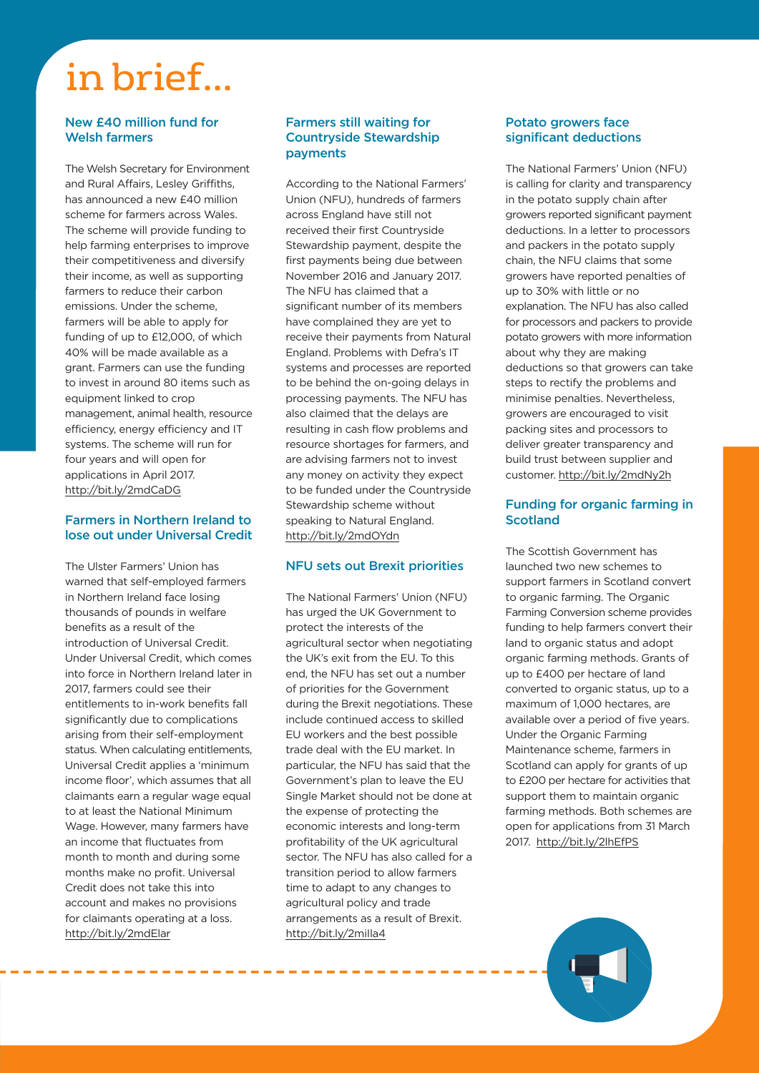## in brief...

#### **New £40 million fund for Welsh farmers**

The Welsh Secretary for Environment and Rural Affairs, Lesley Griffiths, has announced a new £40 million scheme for farmers across Wales. The scheme will provide funding to help farming enterprises to improve their competitiveness and diversify their income, as well as supporting farmers to reduce their carbon emissions. Under the scheme, farmers will be able to apply for funding of up to £12,000, of which 40% will be made available as a grant. Farmers can use the funding to invest in around 80 items such as equipment linked to crop management, animal health, resource efficiency, energy efficiency and IT systems. The scheme will run for four years and will open for applications in April 2017. http://bit.ly/2mdCaDG

#### **Farmers in Northern Ireland to lose out under Universal Credit**

The Ulster Farmers' Union has warned that self-employed farmers in Northern Ireland face losing thousands of pounds in welfare benefits as a result of the introduction of Universal Credit. Under Universal Credit, which comes into force in Northern Ireland later in 2017, farmers could see their entitlements to in-work benefits fall significantly due to complications arising from their self-employment status. When calculating entitlements, Universal Credit applies a 'minimum income floor', which assumes that all claimants earn a regular wage equal to at least the National Minimum Wage. However, many farmers have an income that fluctuates from month to month and during some months make no profit. Universal Credit does not take this into account and makes no provisions for claimants operating at a loss. http://bit.ly/2mdElar

#### **Farmers still waiting for Countryside Stewardship payments**

According to the National Farmers' Union (NFU), hundreds of farmers across England have still not received their first Countryside Stewardship payment, despite the first payments being due between November 2016 and January 2017. The NFU has claimed that a significant number of its members have complained they are yet to receive their payments from Natural England. Problems with Defra's IT systems and processes are reported to be behind the on-going delays in processing payments. The NFU has also claimed that the delays are resulting in cash flow problems and resource shortages for farmers, and are advising farmers not to invest any money on activity they expect to be funded under the Countryside Stewardship scheme without speaking to Natural England. http://bit.ly/2mdOYdn

#### **NFU sets out Brexit priorities**

The National Farmers' Union (NFU) has urged the UK Government to protect the interests of the agricultural sector when negotiating the UK's exit from the EU. To this end, the NFU has set out a number of priorities for the Government during the Brexit negotiations. These include continued access to skilled EU workers and the best possible trade deal with the EU market. In particular, the NFU has said that the Government's plan to leave the EU Single Market should not be done at the expense of protecting the economic interests and long-term profitability of the UK agricultural sector. The NFU has also called for a transition period to allow farmers time to adapt to any changes to agricultural policy and trade arrangements as a result of Brexit. http://bit.ly/2miIla4

--------

#### **Potato growers face significant deductions**

The National Farmers' Union (NFU) is calling for clarity and transparency in the potato supply chain after growers reported significant payment deductions. In a letter to processors and packers in the potato supply chain, the NFU claims that some growers have reported penalties of up to 30% with little or no explanation. The NFU has also called for processors and packers to provide potato growers with more information about why they are making deductions so that growers can take steps to rectify the problems and minimise penalties. Nevertheless, growers are encouraged to visit packing sites and processors to deliver greater transparency and build trust between supplier and customer. http://bit.ly/2mdNy2h

#### **Funding for organic farming in Scotland**

The Scottish Government has launched two new schemes to support farmers in Scotland convert to organic farming. The Organic Farming Conversion scheme provides funding to help farmers convert their land to organic status and adopt organic farming methods. Grants of up to £400 per hectare of land converted to organic status, up to a maximum of 1,000 hectares, are available over a period of five years. Under the Organic Farming Maintenance scheme, farmers in Scotland can apply for grants of up to £200 per hectare for activities that support them to maintain organic farming methods. Both schemes are open for applications from 31 March 2017. http://bit.ly/2lhEfPS